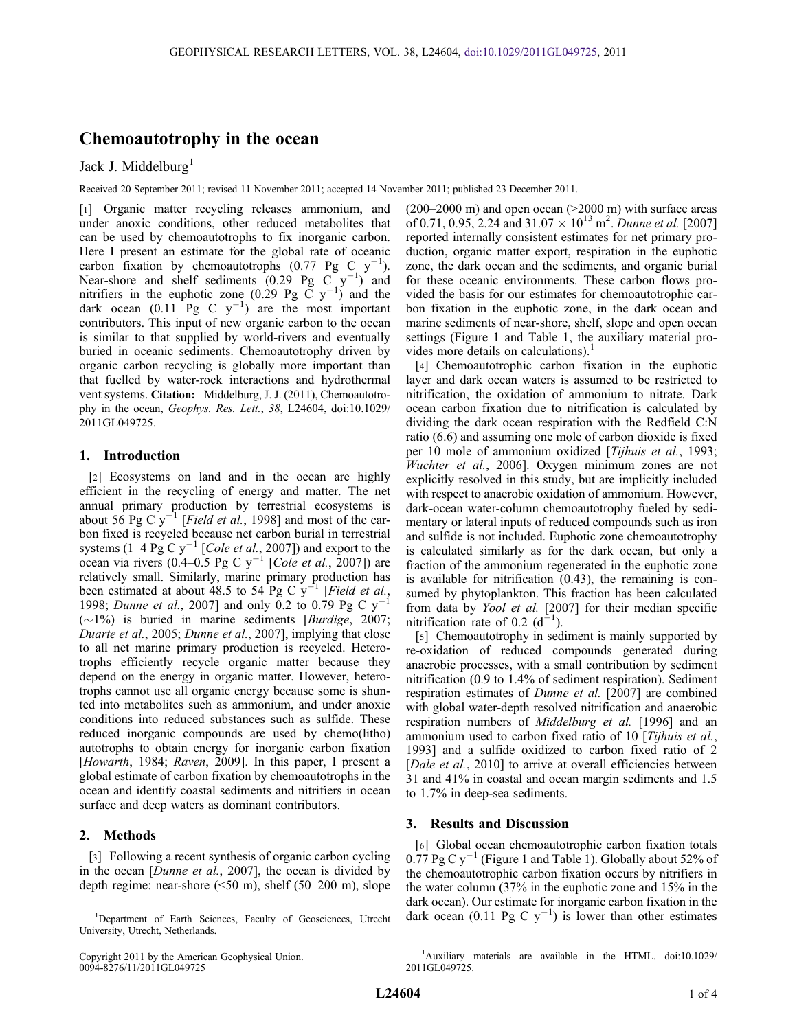# Chemoautotrophy in the ocean

# Jack J. Middelburg<sup>1</sup>

Received 20 September 2011; revised 11 November 2011; accepted 14 November 2011; published 23 December 2011.

[1] Organic matter recycling releases ammonium, and under anoxic conditions, other reduced metabolites that can be used by chemoautotrophs to fix inorganic carbon. Here I present an estimate for the global rate of oceanic carbon fixation by chemoautotrophs  $(0.77 \text{Pg C y}^{-1})$ . Near-shore and shelf sediments  $(0.29)$  Pg C  $y^{-1}$ ) and nitrifiers in the euphotic zone (0.29 Pg  $\check{C}$  y<sup>-1</sup>) and the dark ocean  $(0.11 \text{ Pg} \text{ C y}^{-1})$  are the most important contributors. This input of new organic carbon to the ocean is similar to that supplied by world-rivers and eventually buried in oceanic sediments. Chemoautotrophy driven by organic carbon recycling is globally more important than that fuelled by water-rock interactions and hydrothermal vent systems. Citation: Middelburg, J. J. (2011), Chemoautotrophy in the ocean, Geophys. Res. Lett., 38, L24604, doi:10.1029/ 2011GL049725.

#### 1. Introduction

[2] Ecosystems on land and in the ocean are highly efficient in the recycling of energy and matter. The net annual primary production by terrestrial ecosystems is about 56 Pg C  $y^{-1}$  [*Field et al.*, 1998] and most of the carbon fixed is recycled because net carbon burial in terrestrial systems (1–4 Pg C y<sup>-1</sup> [*Cole et al.*, 2007]) and export to the ocean via rivers (0.4–0.5 Pg C  $y^{-1}$  [*Cole et al.*, 2007]) are relatively small. Similarly, marine primary production has been estimated at about 48.5 to 54 Pg C  $y^{-1}$  [*Field et al.*, 1998; Dunne et al., 2007] and only 0.2 to 0.79 Pg C  $y^{-1}$  $(\sim 1\%)$  is buried in marine sediments [Burdige, 2007; Duarte et al., 2005; Dunne et al., 2007], implying that close to all net marine primary production is recycled. Heterotrophs efficiently recycle organic matter because they depend on the energy in organic matter. However, heterotrophs cannot use all organic energy because some is shunted into metabolites such as ammonium, and under anoxic conditions into reduced substances such as sulfide. These reduced inorganic compounds are used by chemo(litho) autotrophs to obtain energy for inorganic carbon fixation [Howarth, 1984; Raven, 2009]. In this paper, I present a global estimate of carbon fixation by chemoautotrophs in the ocean and identify coastal sediments and nitrifiers in ocean surface and deep waters as dominant contributors.

# 2. Methods

[3] Following a recent synthesis of organic carbon cycling in the ocean [Dunne et al., 2007], the ocean is divided by depth regime: near-shore (<50 m), shelf (50–200 m), slope  $(200-2000 \text{ m})$  and open ocean  $(>2000 \text{ m})$  with surface areas of 0.71, 0.95, 2.24 and  $31.07 \times 10^{13}$  m<sup>2</sup>. Dunne et al. [2007] reported internally consistent estimates for net primary production, organic matter export, respiration in the euphotic zone, the dark ocean and the sediments, and organic burial for these oceanic environments. These carbon flows provided the basis for our estimates for chemoautotrophic carbon fixation in the euphotic zone, in the dark ocean and marine sediments of near-shore, shelf, slope and open ocean settings (Figure 1 and Table 1, the auxiliary material provides more details on calculations).<sup>1</sup>

[4] Chemoautotrophic carbon fixation in the euphotic layer and dark ocean waters is assumed to be restricted to nitrification, the oxidation of ammonium to nitrate. Dark ocean carbon fixation due to nitrification is calculated by dividing the dark ocean respiration with the Redfield C:N ratio (6.6) and assuming one mole of carbon dioxide is fixed per 10 mole of ammonium oxidized [Tijhuis et al., 1993; Wuchter et al., 2006]. Oxygen minimum zones are not explicitly resolved in this study, but are implicitly included with respect to anaerobic oxidation of ammonium. However, dark-ocean water-column chemoautotrophy fueled by sedimentary or lateral inputs of reduced compounds such as iron and sulfide is not included. Euphotic zone chemoautotrophy is calculated similarly as for the dark ocean, but only a fraction of the ammonium regenerated in the euphotic zone is available for nitrification (0.43), the remaining is consumed by phytoplankton. This fraction has been calculated from data by Yool et al. [2007] for their median specific nitrification rate of 0.2  $(d^{-1})$ .

[5] Chemoautotrophy in sediment is mainly supported by re-oxidation of reduced compounds generated during anaerobic processes, with a small contribution by sediment nitrification (0.9 to 1.4% of sediment respiration). Sediment respiration estimates of Dunne et al. [2007] are combined with global water-depth resolved nitrification and anaerobic respiration numbers of Middelburg et al. [1996] and an ammonium used to carbon fixed ratio of 10 [Tijhuis et al., 1993] and a sulfide oxidized to carbon fixed ratio of 2 [Dale et al., 2010] to arrive at overall efficiencies between 31 and 41% in coastal and ocean margin sediments and 1.5 to 1.7% in deep-sea sediments.

### 3. Results and Discussion

[6] Global ocean chemoautotrophic carbon fixation totals  $0.77$  Pg C y<sup>-1</sup> (Figure 1 and Table 1). Globally about 52% of the chemoautotrophic carbon fixation occurs by nitrifiers in the water column (37% in the euphotic zone and 15% in the dark ocean). Our estimate for inorganic carbon fixation in the  $\overline{1}$ Department of Earth Sciences, Faculty of Geosciences, Utrecht dark ocean (0.11 Pg C y<sup>-1</sup>) is lower than other estimates

<sup>&</sup>lt;sup>1</sup>Department of Earth Sciences, Faculty of Geosciences, Utrecht University, Utrecht, Netherlands.

Copyright 2011 by the American Geophysical Union. 0094-8276/11/2011GL049725

<sup>&</sup>lt;sup>1</sup>Auxiliary materials are available in the HTML. doi:10.1029/ 2011GL049725.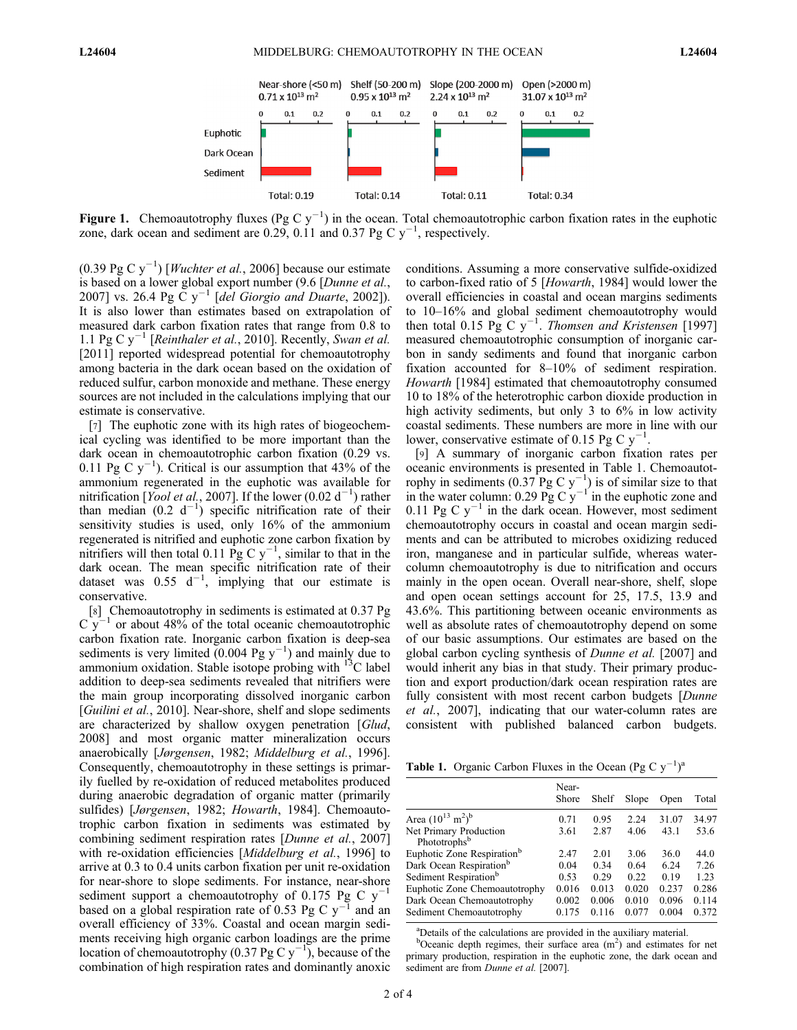

Figure 1. Chemoautotrophy fluxes (Pg C  $y^{-1}$ ) in the ocean. Total chemoautotrophic carbon fixation rates in the euphotic zone, dark ocean and sediment are 0.29, 0.11 and 0.37 Pg C  $y^{-1}$ , respectively.

 $(0.39 \text{ pg C y}^{-1})$  [*Wuchter et al.*, 2006] because our estimate is based on a lower global export number (9.6 [Dunne et al., 2007] vs. 26.4 Pg C  $y^{-1}$  [del Giorgio and Duarte, 2002]). It is also lower than estimates based on extrapolation of measured dark carbon fixation rates that range from 0.8 to 1.1 Pg C  $y^{-1}$  [Reinthaler et al., 2010]. Recently, Swan et al. [2011] reported widespread potential for chemoautotrophy among bacteria in the dark ocean based on the oxidation of reduced sulfur, carbon monoxide and methane. These energy sources are not included in the calculations implying that our estimate is conservative.

[7] The euphotic zone with its high rates of biogeochemical cycling was identified to be more important than the dark ocean in chemoautotrophic carbon fixation (0.29 vs. 0.11 Pg C  $y^{-1}$ ). Critical is our assumption that 43% of the ammonium regenerated in the euphotic was available for nitrification [Yool et al., 2007]. If the lower (0.02 d<sup>-1</sup>) rather than median  $(0.2 \text{ d}^{-1})$  specific nitrification rate of their sensitivity studies is used, only 16% of the ammonium regenerated is nitrified and euphotic zone carbon fixation by nitrifiers will then total 0.11 Pg C  $y^{-1}$ , similar to that in the dark ocean. The mean specific nitrification rate of their dataset was  $0.55 \, \text{d}^{-1}$ , implying that our estimate is conservative.

[8] Chemoautotrophy in sediments is estimated at 0.37 Pg  $C$  y<sup>-1</sup> or about 48% of the total oceanic chemoautotrophic carbon fixation rate. Inorganic carbon fixation is deep-sea sediments is very limited  $(0.004 \text{ pg y}^{-1})$  and mainly due to ammonium oxidation. Stable isotope probing with  $^{13}$ C label addition to deep-sea sediments revealed that nitrifiers were the main group incorporating dissolved inorganic carbon [*Guilini et al.*, 2010]. Near-shore, shelf and slope sediments are characterized by shallow oxygen penetration [Glud, 2008] and most organic matter mineralization occurs anaerobically [Jørgensen, 1982; Middelburg et al., 1996]. Consequently, chemoautotrophy in these settings is primarily fuelled by re-oxidation of reduced metabolites produced during anaerobic degradation of organic matter (primarily sulfides) [Jørgensen, 1982; Howarth, 1984]. Chemoautotrophic carbon fixation in sediments was estimated by combining sediment respiration rates [Dunne et al., 2007] with re-oxidation efficiencies [*Middelburg et al.*, 1996] to arrive at 0.3 to 0.4 units carbon fixation per unit re-oxidation for near-shore to slope sediments. For instance, near-shore sediment support a chemoautotrophy of 0.175 Pg C  $y^{-1}$ based on a global respiration rate of 0.53 Pg C  $y^{-1}$  and an overall efficiency of 33%. Coastal and ocean margin sediments receiving high organic carbon loadings are the prime location of chemoautotrophy (0.37 Pg C y<sup>-1</sup>), because of the combination of high respiration rates and dominantly anoxic conditions. Assuming a more conservative sulfide-oxidized to carbon-fixed ratio of 5 [Howarth, 1984] would lower the overall efficiencies in coastal and ocean margins sediments to 10–16% and global sediment chemoautotrophy would then total 0.15 Pg C  $y^{-1}$ . Thomsen and Kristensen [1997] measured chemoautotrophic consumption of inorganic carbon in sandy sediments and found that inorganic carbon fixation accounted for 8–10% of sediment respiration. Howarth [1984] estimated that chemoautotrophy consumed 10 to 18% of the heterotrophic carbon dioxide production in high activity sediments, but only 3 to 6% in low activity coastal sediments. These numbers are more in line with our lower, conservative estimate of 0.15 Pg C  $y^{-1}$ .

[9] A summary of inorganic carbon fixation rates per oceanic environments is presented in Table 1. Chemoautotrophy in sediments  $(0.37 \text{ Pg C y}^{-1})$  is of similar size to that in the water column: 0.29 Pg C  $y^{-1}$  in the euphotic zone and 0.11 Pg C  $y^{-1}$  in the dark ocean. However, most sediment chemoautotrophy occurs in coastal and ocean margin sediments and can be attributed to microbes oxidizing reduced iron, manganese and in particular sulfide, whereas watercolumn chemoautotrophy is due to nitrification and occurs mainly in the open ocean. Overall near-shore, shelf, slope and open ocean settings account for 25, 17.5, 13.9 and 43.6%. This partitioning between oceanic environments as well as absolute rates of chemoautotrophy depend on some of our basic assumptions. Our estimates are based on the global carbon cycling synthesis of Dunne et al. [2007] and would inherit any bias in that study. Their primary production and export production/dark ocean respiration rates are fully consistent with most recent carbon budgets [*Dunne*] et al., 2007], indicating that our water-column rates are consistent with published balanced carbon budgets.

**Table 1.** Organic Carbon Fluxes in the Ocean (Pg C  $y^{-1}$ )<sup>a</sup>

|                                                    | Near-<br>Shore | Shelf | Slope | Open  | Total |
|----------------------------------------------------|----------------|-------|-------|-------|-------|
| Area $(10^{13} \text{ m}^2)^b$                     | 0.71           | 0.95  | 2.24  | 31.07 | 34.97 |
| Net Primary Production<br>Phototrophs <sup>b</sup> | 3.61           | 2.87  | 4.06  | 43.1  | 53.6  |
| Euphotic Zone Respiration <sup>b</sup>             | 2.47           | 2.01  | 3.06  | 36.0  | 44.0  |
| Dark Ocean Respiration <sup>b</sup>                | 0.04           | 0.34  | 0.64  | 6.24  | 7.26  |
| Sediment Respiration <sup>b</sup>                  | 0.53           | 0.29  | 0.22  | 0.19  | 1.23  |
| Euphotic Zone Chemoautotrophy                      | 0.016          | 0.013 | 0.020 | 0.237 | 0.286 |
| Dark Ocean Chemoautotrophy                         | 0.002          | 0.006 | 0.010 | 0.096 | 0.114 |
| Sediment Chemoautotrophy                           | 0.175          | 0.116 | 0.077 | 0.004 | 0.372 |

a Details of the calculations are provided in the auxiliary material.

 $b$ Oceanic depth regimes, their surface area (m<sup>2</sup>) and estimates for net primary production, respiration in the euphotic zone, the dark ocean and sediment are from Dunne et al. [2007].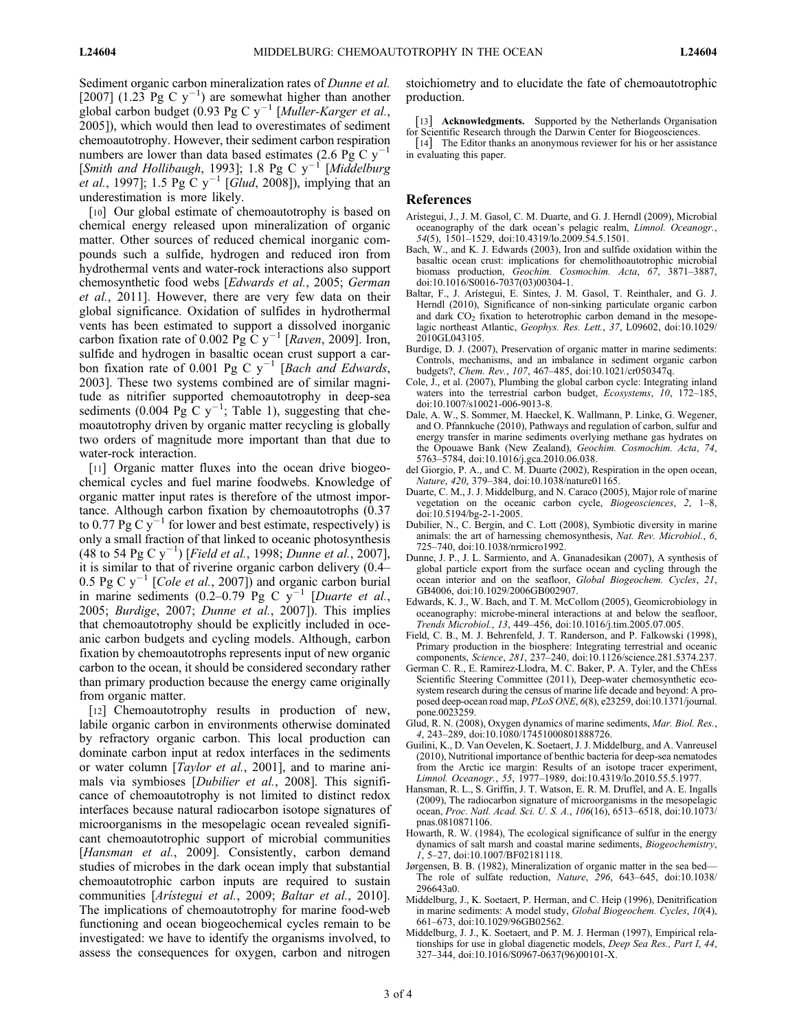Sediment organic carbon mineralization rates of Dunne et al. [2007] (1.23 Pg C  $y^{-1}$ ) are somewhat higher than another global carbon budget (0.93 Pg C  $y^{-1}$  [Muller-Karger et al., 2005]), which would then lead to overestimates of sediment chemoautotrophy. However, their sediment carbon respiration numbers are lower than data based estimates (2.6 Pg C  $y^{-1}$ ) [Smith and Hollibaugh, 1993]; 1.8 Pg C  $y^{-1}$  [Middelburg *et al.*, 1997]; 1.5 Pg C  $y^{-1}$  [Glud, 2008]), implying that an underestimation is more likely.

[10] Our global estimate of chemoautotrophy is based on chemical energy released upon mineralization of organic matter. Other sources of reduced chemical inorganic compounds such a sulfide, hydrogen and reduced iron from hydrothermal vents and water-rock interactions also support chemosynthetic food webs [Edwards et al., 2005; German et al., 2011]. However, there are very few data on their global significance. Oxidation of sulfides in hydrothermal vents has been estimated to support a dissolved inorganic carbon fixation rate of 0.002 Pg C  $y^{-1}$  [Raven, 2009]. Iron, sulfide and hydrogen in basaltic ocean crust support a carbon fixation rate of 0.001 Pg C  $y^{-1}$  [Bach and Edwards, 2003]. These two systems combined are of similar magnitude as nitrifier supported chemoautotrophy in deep-sea sediments (0.004 Pg C  $y^{-1}$ ; Table 1), suggesting that chemoautotrophy driven by organic matter recycling is globally two orders of magnitude more important than that due to water-rock interaction.

[11] Organic matter fluxes into the ocean drive biogeochemical cycles and fuel marine foodwebs. Knowledge of organic matter input rates is therefore of the utmost importance. Although carbon fixation by chemoautotrophs (0.37 to 0.77 Pg C  $y^{-1}$  for lower and best estimate, respectively) is only a small fraction of that linked to oceanic photosynthesis  $(48 \text{ to } 54 \text{ pg C y}^{-1})$  [*Field et al.*, 1998; *Dunne et al.*, 2007], it is similar to that of riverine organic carbon delivery (0.4– 0.5 Pg C  $y^{-1}$  [*Cole et al.*, 2007]) and organic carbon burial in marine sediments  $(0.2-0.79)^{9}$  Pg C y<sup>-1</sup> [Duarte et al., 2005; Burdige, 2007; Dunne et al., 2007]). This implies that chemoautotrophy should be explicitly included in oceanic carbon budgets and cycling models. Although, carbon fixation by chemoautotrophs represents input of new organic carbon to the ocean, it should be considered secondary rather than primary production because the energy came originally from organic matter.

[12] Chemoautotrophy results in production of new, labile organic carbon in environments otherwise dominated by refractory organic carbon. This local production can dominate carbon input at redox interfaces in the sediments or water column [Taylor et al., 2001], and to marine animals via symbioses [*Dubilier et al.*, 2008]. This significance of chemoautotrophy is not limited to distinct redox interfaces because natural radiocarbon isotope signatures of microorganisms in the mesopelagic ocean revealed significant chemoautotrophic support of microbial communities [Hansman et al., 2009]. Consistently, carbon demand studies of microbes in the dark ocean imply that substantial chemoautotrophic carbon inputs are required to sustain communities [Arístegui et al., 2009; Baltar et al., 2010]. The implications of chemoautotrophy for marine food-web functioning and ocean biogeochemical cycles remain to be investigated: we have to identify the organisms involved, to assess the consequences for oxygen, carbon and nitrogen

stoichiometry and to elucidate the fate of chemoautotrophic production.

[13] Acknowledgments. Supported by the Netherlands Organisation for Scientific Research through the Darwin Center for Biogeosciences.

[14] The Editor thanks an anonymous reviewer for his or her assistance in evaluating this paper.

#### References

- Arístegui, J., J. M. Gasol, C. M. Duarte, and G. J. Herndl (2009), Microbial oceanography of the dark ocean's pelagic realm, Limnol. Oceanogr., 54(5), 1501–1529, doi:10.4319/lo.2009.54.5.1501.
- Bach, W., and K. J. Edwards (2003), Iron and sulfide oxidation within the basaltic ocean crust: implications for chemolithoautotrophic microbial biomass production, Geochim. Cosmochim. Acta, 67, 3871-3887, doi:10.1016/S0016-7037(03)00304-1.
- Baltar, F., J. Arístegui, E. Sintes, J. M. Gasol, T. Reinthaler, and G. J. Herndl (2010), Significance of non-sinking particulate organic carbon and dark CO<sub>2</sub> fixation to heterotrophic carbon demand in the mesopelagic northeast Atlantic, Geophys. Res. Lett., 37, L09602, doi:10.1029/ 2010GL043105.
- Burdige, D. J. (2007), Preservation of organic matter in marine sediments: Controls, mechanisms, and an imbalance in sediment organic carbon budgets?, Chem. Rev., 107, 467–485, doi:10.1021/cr050347q.
- Cole, J., et al. (2007), Plumbing the global carbon cycle: Integrating inland waters into the terrestrial carbon budget, Ecosystems, 10, 172-185, doi:10.1007/s10021-006-9013-8.
- Dale, A. W., S. Sommer, M. Haeckel, K. Wallmann, P. Linke, G. Wegener, and O. Pfannkuche (2010), Pathways and regulation of carbon, sulfur and energy transfer in marine sediments overlying methane gas hydrates on the Opouawe Bank (New Zealand), Geochim. Cosmochim. Acta, 74, 5763–5784, doi:10.1016/j.gca.2010.06.038.
- del Giorgio, P. A., and C. M. Duarte (2002), Respiration in the open ocean, Nature, 420, 379–384, doi:10.1038/nature01165.
- Duarte, C. M., J. J. Middelburg, and N. Caraco (2005), Major role of marine vegetation on the oceanic carbon cycle, Biogeosciences, 2, 1–8, doi:10.5194/bg-2-1-2005.
- Dubilier, N., C. Bergin, and C. Lott (2008), Symbiotic diversity in marine animals: the art of harnessing chemosynthesis, Nat. Rev. Microbiol., 6, 725–740, doi:10.1038/nrmicro1992.
- Dunne, J. P., J. L. Sarmiento, and A. Gnanadesikan (2007), A synthesis of global particle export from the surface ocean and cycling through the ocean interior and on the seafloor, Global Biogeochem. Cycles, 21, GB4006, doi:10.1029/2006GB002907.
- Edwards, K. J., W. Bach, and T. M. McCollom (2005), Geomicrobiology in oceanography: microbe-mineral interactions at and below the seafloor, Trends Microbiol., 13, 449–456, doi:10.1016/j.tim.2005.07.005.
- Field, C. B., M. J. Behrenfeld, J. T. Randerson, and P. Falkowski (1998), Primary production in the biosphere: Integrating terrestrial and oceanic components, Science, 281, 237–240, doi:10.1126/science.281.5374.237.
- German C. R., E. Ramirez-Llodra, M. C. Baker, P. A. Tyler, and the ChEss Scientific Steering Committee (2011), Deep-water chemosynthetic ecosystem research during the census of marine life decade and beyond: A proposed deep-ocean road map, PLoS ONE, 6(8), e23259, doi:10.1371/journal. pone.0023259.
- Glud, R. N. (2008), Oxygen dynamics of marine sediments, Mar. Biol. Res., 4, 243–289, doi:10.1080/17451000801888726.
- Guilini, K., D. Van Oevelen, K. Soetaert, J. J. Middelburg, and A. Vanreusel (2010), Nutritional importance of benthic bacteria for deep-sea nematodes from the Arctic ice margin: Results of an isotope tracer experiment, Limnol. Oceanogr., 55, 1977–1989, doi:10.4319/lo.2010.55.5.1977.
- Hansman, R. L., S. Griffin, J. T. Watson, E. R. M. Druffel, and A. E. Ingalls (2009), The radiocarbon signature of microorganisms in the mesopelagic ocean, Proc. Natl. Acad. Sci. U. S. A., 106(16), 6513–6518, doi:10.1073/ pnas.0810871106.
- Howarth, R. W. (1984), The ecological significance of sulfur in the energy dynamics of salt marsh and coastal marine sediments, Biogeochemistry, 1, 5–27, doi:10.1007/BF02181118.
- Jørgensen, B. B. (1982), Mineralization of organic matter in the sea bed— The role of sulfate reduction, Nature, 296, 643–645, doi:10.1038/ 296643a0.
- Middelburg, J., K. Soetaert, P. Herman, and C. Heip (1996), Denitrification in marine sediments: A model study, Global Biogeochem. Cycles, 10(4), 661–673, doi:10.1029/96GB02562.
- Middelburg, J. J., K. Soetaert, and P. M. J. Herman (1997), Empirical relationships for use in global diagenetic models, Deep Sea Res., Part I, 44, 327–344, doi:10.1016/S0967-0637(96)00101-X.